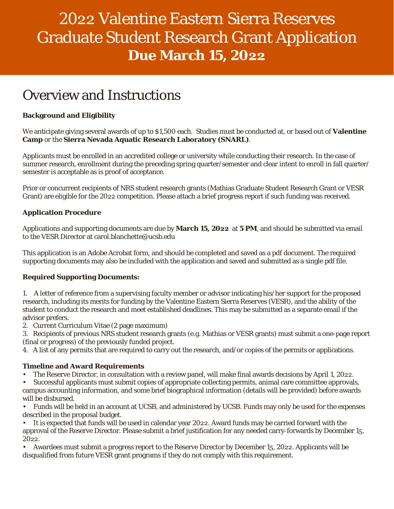# 2022 Valentine Eastern Sierra Reserves Graduate Student Research Grant Application **Due March 15, 2022**

### Overview and Instructions

#### **Background and Eligibility**

We anticipate giving several awards of up to \$1,500 each. Studies must be conducted at, or based out of **Valentine Camp** or the **Sierra Nevada Aquatic Research Laboratory (SNARL)**.

Applicants must be enrolled in an accredited college or university while conducting their research. In the case of summer research, enrollment during the preceding spring quarter/semester and clear intent to enroll in fall quarter/ semester is acceptable as is proof of acceptance.

Prior or concurrent recipients of NRS student research grants (Mathias Graduate Student Research Grant or VESR Grant) are eligible for the 2022 competition. Please attach a brief progress report if such funding was received.

#### **Application Procedure**

Applications and supporting documents are due by **March 15, 2022** at **5 PM**, and should be submitted via email to the VESR Director at carol.blanchette@ucsb.edu

This application is an Adobe Acrobat form, and should be completed and saved as a pdf document. The required supporting documents may also be included with the application and saved and submitted as a single pdf file.

#### **Required Supporting Documents:**

- 1. A letter of reference from a supervising faculty member or advisor indicating his/her support for the proposed research, including its merits for funding by the Valentine Eastern Sierra Reserves (VESR), and the ability of the student to conduct the research and meet established deadlines. This may be submitted as a separate email if the advisor prefers.
- 2. Current Curriculum Vitae (2 page maximum)
- 3. Recipients of previous NRS student research grants (e.g. Mathias or VESR grants) must submit a one-page report (final or progress) of the previously funded project.
- 4. A list of any permits that are required to carry out the research, and/or copies of the permits or applications.

#### **Timeline and Award Requirements**

- The Reserve Director, in consultation with a review panel, will make final awards decisions by April 1, 2022.
- Successful applicants must submit copies of appropriate collecting permits, animal care committee approvals, campus accounting information, and some brief biographical information (details will be provided) before awards will be disbursed.
- Funds will be held in an account at UCSB, and administered by UCSB. Funds may only be used for the expenses described in the proposal budget.
- It is expected that funds will be used in calendar year 2022. Award funds may be carried forward with the approval of the Reserve Director. Please submit a brief justification for any needed carry-forwards by December 15, 2022.
- Awardees must submit a progress report to the Reserve Director by December 15, 2022. Applicants will be disqualified from future VESR grant programs if they do not comply with this requirement.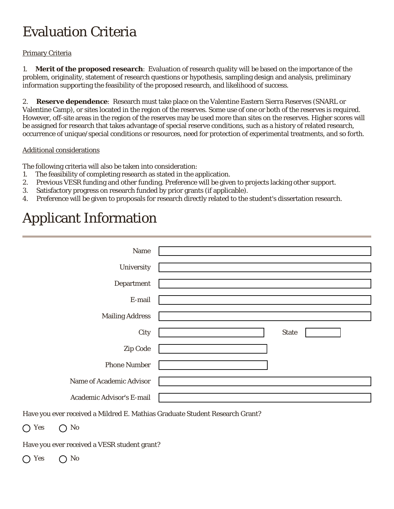### Evaluation Criteria

#### Primary Criteria

1. **Merit of the proposed research**: Evaluation of research quality will be based on the importance of the problem, originality, statement of research questions or hypothesis, sampling design and analysis, preliminary information supporting the feasibility of the proposed research, and likelihood of success.

2. **Reserve dependence**: Research must take place on the Valentine Eastern Sierra Reserves (SNARL or Valentine Camp), or sites located in the region of the reserves. Some use of one or both of the reserves is required. However, off-site areas in the region of the reserves may be used more than sites on the reserves. Higher scores will be assigned for research that takes advantage of special reserve conditions, such as a history of related research, occurrence of unique/special conditions or resources, need for protection of experimental treatments, and so forth.

#### Additional considerations

The following criteria will also be taken into consideration:

- 1. The feasibility of completing research as stated in the application.
- 2. Previous VESR funding and other funding. Preference will be given to projects lacking other support.
- 3. Satisfactory progress on research funded by prior grants (if applicable).
- 4. Preference will be given to proposals for research directly related to the student's dissertation research.

### Applicant Information

| Name                      |                    |  |
|---------------------------|--------------------|--|
| University                |                    |  |
| Department                |                    |  |
| E-mail                    |                    |  |
| <b>Mailing Address</b>    |                    |  |
| City                      | <b>State</b><br>▼∣ |  |
| Zip Code                  |                    |  |
| <b>Phone Number</b>       |                    |  |
| Name of Academic Advisor  |                    |  |
| Academic Advisor's E-mail |                    |  |

Have you ever received a Mildred E. Mathias Graduate Student Research Grant?

 $\bigcap$  Yes  $\bigcap$  No

Have you ever received a VESR student grant?

 $\bigcap$  Yes  $\bigcap$  No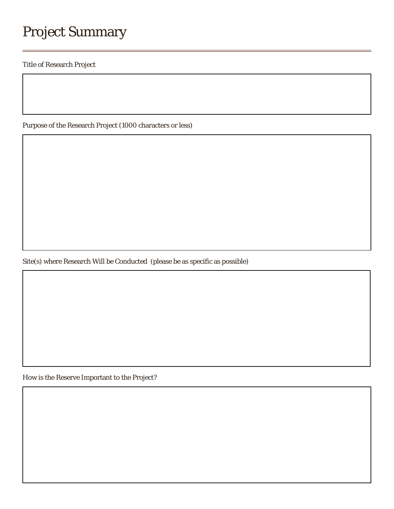## Project Summary

Title of Research Project

Purpose of the Research Project (1000 characters or less)

Site(s) where Research Will be Conducted (please be as specific as possible)

How is the Reserve Important to the Project?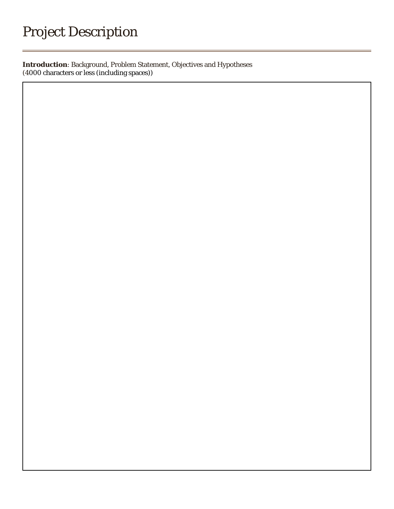## Project Description

**Introduction**: Background, Problem Statement, Objectives and Hypotheses (4000 characters or less (including spaces))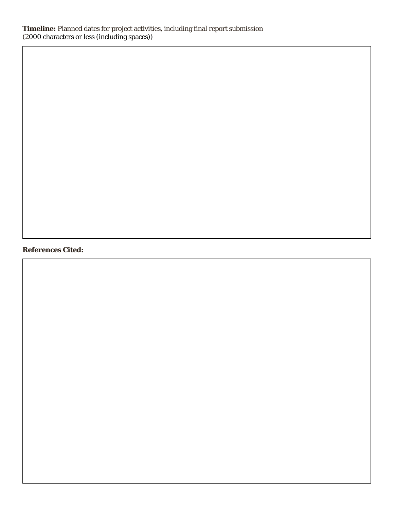#### **References Cited:**